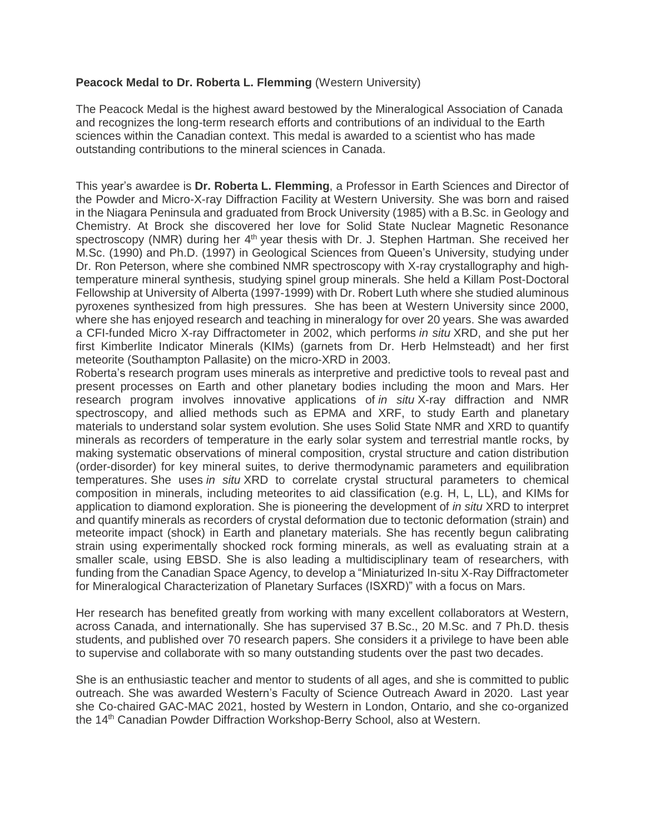## **Peacock Medal to Dr. Roberta L. Flemming** (Western University)

The Peacock Medal is the highest award bestowed by the Mineralogical Association of Canada and recognizes the long-term research efforts and contributions of an individual to the Earth sciences within the Canadian context. This medal is awarded to a scientist who has made outstanding contributions to the mineral sciences in Canada.

This year's awardee is **Dr. Roberta L. Flemming**, a Professor in Earth Sciences and Director of the Powder and Micro-X-ray Diffraction Facility at Western University*.* She was born and raised in the Niagara Peninsula and graduated from Brock University (1985) with a B.Sc. in Geology and Chemistry. At Brock she discovered her love for Solid State Nuclear Magnetic Resonance spectroscopy (NMR) during her 4<sup>th</sup> year thesis with Dr. J. Stephen Hartman. She received her M.Sc. (1990) and Ph.D. (1997) in Geological Sciences from Queen's University, studying under Dr. Ron Peterson, where she combined NMR spectroscopy with X-ray crystallography and hightemperature mineral synthesis, studying spinel group minerals. She held a Killam Post-Doctoral Fellowship at University of Alberta (1997-1999) with Dr. Robert Luth where she studied aluminous pyroxenes synthesized from high pressures. She has been at Western University since 2000, where she has enjoyed research and teaching in mineralogy for over 20 years. She was awarded a CFI-funded Micro X-ray Diffractometer in 2002, which performs *in situ* XRD, and she put her first Kimberlite Indicator Minerals (KIMs) (garnets from Dr. Herb Helmsteadt) and her first meteorite (Southampton Pallasite) on the micro-XRD in 2003.

Roberta's research program uses minerals as interpretive and predictive tools to reveal past and present processes on Earth and other planetary bodies including the moon and Mars. Her research program involves innovative applications of *in situ* X-ray diffraction and NMR spectroscopy, and allied methods such as EPMA and XRF, to study Earth and planetary materials to understand solar system evolution. She uses Solid State NMR and XRD to quantify minerals as recorders of temperature in the early solar system and terrestrial mantle rocks, by making systematic observations of mineral composition, crystal structure and cation distribution (order-disorder) for key mineral suites, to derive thermodynamic parameters and equilibration temperatures. She uses *in situ* XRD to correlate crystal structural parameters to chemical composition in minerals, including meteorites to aid classification (e.g. H, L, LL), and KIMs for application to diamond exploration. She is pioneering the development of *in situ* XRD to interpret and quantify minerals as recorders of crystal deformation due to tectonic deformation (strain) and meteorite impact (shock) in Earth and planetary materials. She has recently begun calibrating strain using experimentally shocked rock forming minerals, as well as evaluating strain at a smaller scale, using EBSD. She is also leading a multidisciplinary team of researchers, with funding from the Canadian Space Agency, to develop a "Miniaturized In-situ X-Ray Diffractometer for Mineralogical Characterization of Planetary Surfaces (ISXRD)" with a focus on Mars.

Her research has benefited greatly from working with many excellent collaborators at Western, across Canada, and internationally. She has supervised 37 B.Sc., 20 M.Sc. and 7 Ph.D. thesis students, and published over 70 research papers. She considers it a privilege to have been able to supervise and collaborate with so many outstanding students over the past two decades.

She is an enthusiastic teacher and mentor to students of all ages, and she is committed to public outreach. She was awarded Western's Faculty of Science Outreach Award in 2020. Last year she Co-chaired GAC-MAC 2021, hosted by Western in London, Ontario, and she co-organized the 14th Canadian Powder Diffraction Workshop-Berry School, also at Western.